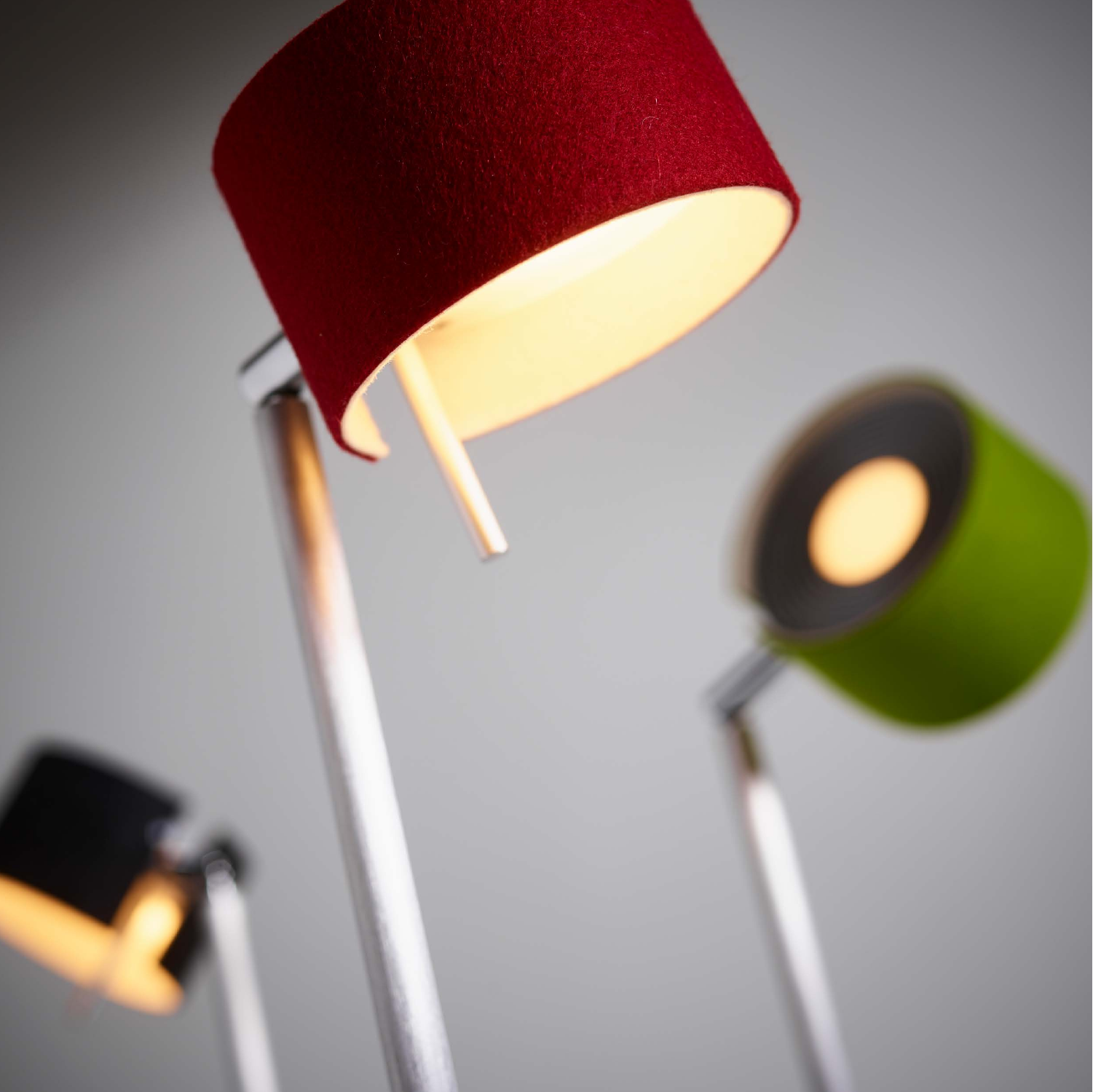